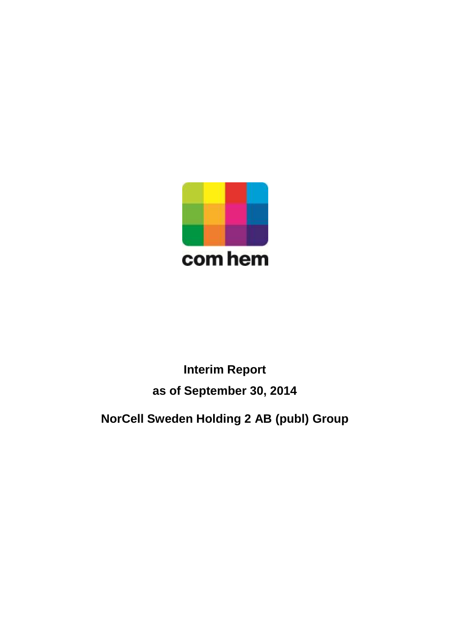

# **Interim Report as of September 30, 2014**

**NorCell Sweden Holding 2 AB (publ) Group**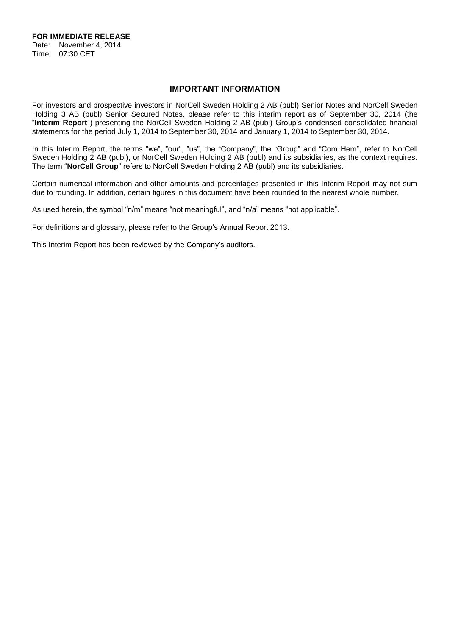**FOR IMMEDIATE RELEASE** Date: November 4, 2014

Time: 07:30 CET

## **IMPORTANT INFORMATION**

For investors and prospective investors in NorCell Sweden Holding 2 AB (publ) Senior Notes and NorCell Sweden Holding 3 AB (publ) Senior Secured Notes, please refer to this interim report as of September 30, 2014 (the "**Interim Report**") presenting the NorCell Sweden Holding 2 AB (publ) Group's condensed consolidated financial statements for the period July 1, 2014 to September 30, 2014 and January 1, 2014 to September 30, 2014.

In this Interim Report, the terms "we", "our", "us", the "Company", the "Group" and "Com Hem", refer to NorCell Sweden Holding 2 AB (publ), or NorCell Sweden Holding 2 AB (publ) and its subsidiaries, as the context requires. The term "**NorCell Group**" refers to NorCell Sweden Holding 2 AB (publ) and its subsidiaries.

Certain numerical information and other amounts and percentages presented in this Interim Report may not sum due to rounding. In addition, certain figures in this document have been rounded to the nearest whole number.

As used herein, the symbol "n/m" means "not meaningful", and "n/a" means "not applicable".

For definitions and glossary, please refer to the Group's Annual Report 2013.

This Interim Report has been reviewed by the Company's auditors.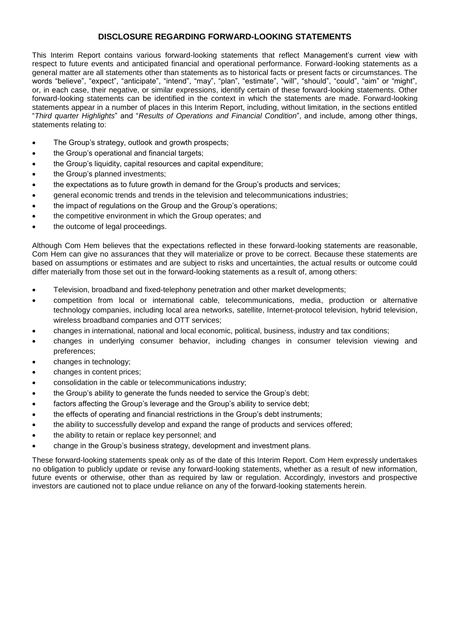## **DISCLOSURE REGARDING FORWARD-LOOKING STATEMENTS**

This Interim Report contains various forward-looking statements that reflect Management's current view with respect to future events and anticipated financial and operational performance. Forward-looking statements as a general matter are all statements other than statements as to historical facts or present facts or circumstances. The words "believe", "expect", "anticipate", "intend", "may", "plan", "estimate", "will", "should", "could", "aim" or "might", or, in each case, their negative, or similar expressions, identify certain of these forward-looking statements. Other forward-looking statements can be identified in the context in which the statements are made. Forward-looking statements appear in a number of places in this Interim Report, including, without limitation, in the sections entitled "*Third quarter Highlights*" and "*Results of Operations and Financial Condition*", and include, among other things, statements relating to:

- The Group's strategy, outlook and growth prospects;
- the Group's operational and financial targets;
- the Group's liquidity, capital resources and capital expenditure;
- the Group's planned investments;
- the expectations as to future growth in demand for the Group's products and services;
- general economic trends and trends in the television and telecommunications industries;
- the impact of regulations on the Group and the Group's operations;
- the competitive environment in which the Group operates; and
- the outcome of legal proceedings.

Although Com Hem believes that the expectations reflected in these forward-looking statements are reasonable, Com Hem can give no assurances that they will materialize or prove to be correct. Because these statements are based on assumptions or estimates and are subject to risks and uncertainties, the actual results or outcome could differ materially from those set out in the forward-looking statements as a result of, among others:

- Television, broadband and fixed-telephony penetration and other market developments;
- competition from local or international cable, telecommunications, media, production or alternative technology companies, including local area networks, satellite, Internet-protocol television, hybrid television, wireless broadband companies and OTT services;
- changes in international, national and local economic, political, business, industry and tax conditions;
- changes in underlying consumer behavior, including changes in consumer television viewing and preferences;
- changes in technology;
- changes in content prices;
- consolidation in the cable or telecommunications industry;
- the Group's ability to generate the funds needed to service the Group's debt;
- factors affecting the Group's leverage and the Group's ability to service debt;
- the effects of operating and financial restrictions in the Group's debt instruments;
- the ability to successfully develop and expand the range of products and services offered;
- the ability to retain or replace key personnel; and
- change in the Group's business strategy, development and investment plans.

These forward-looking statements speak only as of the date of this Interim Report. Com Hem expressly undertakes no obligation to publicly update or revise any forward-looking statements, whether as a result of new information, future events or otherwise, other than as required by law or regulation. Accordingly, investors and prospective investors are cautioned not to place undue reliance on any of the forward-looking statements herein.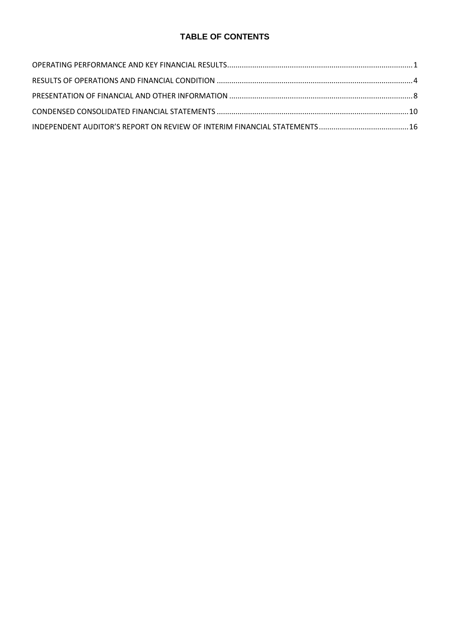# **TABLE OF CONTENTS**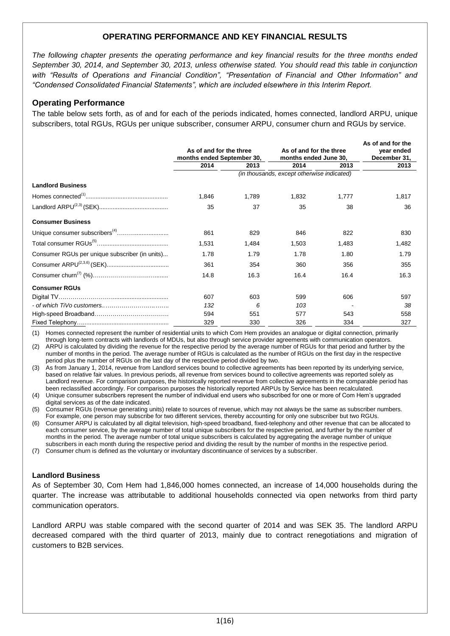# **OPERATING PERFORMANCE AND KEY FINANCIAL RESULTS**

*The following chapter presents the operating performance and key financial results for the three months ended September 30, 2014, and September 30, 2013, unless otherwise stated. You should read this table in conjunction with "Results of Operations and Financial Condition", "Presentation of Financial and Other Information" and "Condensed Consolidated Financial Statements", which are included elsewhere in this Interim Report.* 

## **Operating Performance**

The table below sets forth, as of and for each of the periods indicated, homes connected, landlord ARPU, unique subscribers, total RGUs, RGUs per unique subscriber, consumer ARPU, consumer churn and RGUs by service.

|                                                | As of and for the three<br>months ended September 30, |       | As of and for the three<br>months ended June 30, |       | As of and for the<br>year ended<br>December 31, |
|------------------------------------------------|-------------------------------------------------------|-------|--------------------------------------------------|-------|-------------------------------------------------|
|                                                | 2014                                                  | 2013  | 2014                                             | 2013  | 2013                                            |
|                                                |                                                       |       | (in thousands, except otherwise indicated)       |       |                                                 |
| <b>Landlord Business</b>                       |                                                       |       |                                                  |       |                                                 |
|                                                | 1.846                                                 | 1,789 | 1,832                                            | 1,777 | 1,817                                           |
|                                                | 35                                                    | 37    | 35                                               | 38    | 36                                              |
| <b>Consumer Business</b>                       |                                                       |       |                                                  |       |                                                 |
|                                                | 861                                                   | 829   | 846                                              | 822   | 830                                             |
|                                                | 1,531                                                 | 1,484 | 1,503                                            | 1,483 | 1,482                                           |
| Consumer RGUs per unique subscriber (in units) | 1.78                                                  | 1.79  | 1.78                                             | 1.80  | 1.79                                            |
|                                                | 361                                                   | 354   | 360                                              | 356   | 355                                             |
|                                                | 14.8                                                  | 16.3  | 16.4                                             | 16.4  | 16.3                                            |
| <b>Consumer RGUs</b>                           |                                                       |       |                                                  |       |                                                 |
|                                                | 607                                                   | 603   | 599                                              | 606   | 597                                             |
|                                                | 132                                                   | 6     | 103                                              |       | 38                                              |
|                                                | 594                                                   | 551   | 577                                              | 543   | 558                                             |
|                                                | 329                                                   | 330   | 326                                              | 334   | 327                                             |

(1) Homes connected represent the number of residential units to which Com Hem provides an analogue or digital connection, primarily through long-term contracts with landlords of MDUs, but also through service provider agreements with communication operators.

(2) ARPU is calculated by dividing the revenue for the respective period by the average number of RGUs for that period and further by the number of months in the period. The average number of RGUs is calculated as the number of RGUs on the first day in the respective period plus the number of RGUs on the last day of the respective period divided by two.

(3) As from January 1, 2014, revenue from Landlord services bound to collective agreements has been reported by its underlying service, based on relative fair values. In previous periods, all revenue from services bound to collective agreements was reported solely as Landlord revenue. For comparison purposes, the historically reported revenue from collective agreements in the comparable period has been reclassified accordingly. For comparison purposes the historically reported ARPUs by Service has been recalculated.

(4) Unique consumer subscribers represent the number of individual end users who subscribed for one or more of Com Hem's upgraded digital services as of the date indicated.

(5) Consumer RGUs (revenue generating units) relate to sources of revenue, which may not always be the same as subscriber numbers. For example, one person may subscribe for two different services, thereby accounting for only one subscriber but two RGUs.

(6) Consumer ARPU is calculated by all digital television, high-speed broadband, fixed-telephony and other revenue that can be allocated to each consumer service, by the average number of total unique subscribers for the respective period, and further by the number of months in the period. The average number of total unique subscribers is calculated by aggregating the average number of unique subscribers in each month during the respective period and dividing the result by the number of months in the respective period.

(7) Consumer churn is defined as the voluntary or involuntary discontinuance of services by a subscriber.

## **Landlord Business**

As of September 30, Com Hem had 1,846,000 homes connected, an increase of 14,000 households during the quarter. The increase was attributable to additional households connected via open networks from third party communication operators.

Landlord ARPU was stable compared with the second quarter of 2014 and was SEK 35. The landlord ARPU decreased compared with the third quarter of 2013, mainly due to contract renegotiations and migration of customers to B2B services.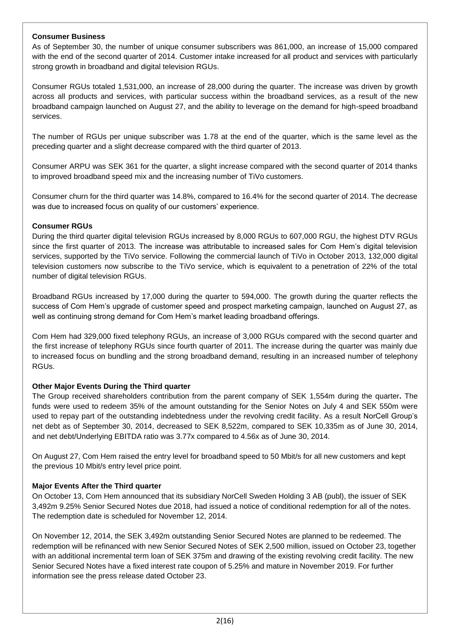## **Consumer Business**

As of September 30, the number of unique consumer subscribers was 861,000, an increase of 15,000 compared with the end of the second quarter of 2014. Customer intake increased for all product and services with particularly strong growth in broadband and digital television RGUs.

Consumer RGUs totaled 1,531,000, an increase of 28,000 during the quarter. The increase was driven by growth across all products and services, with particular success within the broadband services, as a result of the new broadband campaign launched on August 27, and the ability to leverage on the demand for high-speed broadband services.

The number of RGUs per unique subscriber was 1.78 at the end of the quarter, which is the same level as the preceding quarter and a slight decrease compared with the third quarter of 2013.

Consumer ARPU was SEK 361 for the quarter, a slight increase compared with the second quarter of 2014 thanks to improved broadband speed mix and the increasing number of TiVo customers.

Consumer churn for the third quarter was 14.8%, compared to 16.4% for the second quarter of 2014. The decrease was due to increased focus on quality of our customers' experience.

## **Consumer RGUs**

During the third quarter digital television RGUs increased by 8,000 RGUs to 607,000 RGU, the highest DTV RGUs since the first quarter of 2013. The increase was attributable to increased sales for Com Hem's digital television services, supported by the TiVo service. Following the commercial launch of TiVo in October 2013, 132,000 digital television customers now subscribe to the TiVo service, which is equivalent to a penetration of 22% of the total number of digital television RGUs.

Broadband RGUs increased by 17,000 during the quarter to 594,000. The growth during the quarter reflects the success of Com Hem's upgrade of customer speed and prospect marketing campaign, launched on August 27, as well as continuing strong demand for Com Hem's market leading broadband offerings.

Com Hem had 329,000 fixed telephony RGUs, an increase of 3,000 RGUs compared with the second quarter and the first increase of telephony RGUs since fourth quarter of 2011. The increase during the quarter was mainly due to increased focus on bundling and the strong broadband demand, resulting in an increased number of telephony RGUs.

## **Other Major Events During the Third quarter**

The Group received shareholders contribution from the parent company of SEK 1,554m during the quarter**.** The funds were used to redeem 35% of the amount outstanding for the Senior Notes on July 4 and SEK 550m were used to repay part of the outstanding indebtedness under the revolving credit facility. As a result NorCell Group's net debt as of September 30, 2014, decreased to SEK 8,522m, compared to SEK 10,335m as of June 30, 2014, and net debt/Underlying EBITDA ratio was 3.77x compared to 4.56x as of June 30, 2014.

On August 27, Com Hem raised the entry level for broadband speed to 50 Mbit/s for all new customers and kept the previous 10 Mbit/s entry level price point.

## **Major Events After the Third quarter**

On October 13, Com Hem announced that its subsidiary NorCell Sweden Holding 3 AB (publ), the issuer of SEK 3,492m 9.25% Senior Secured Notes due 2018, had issued a notice of conditional redemption for all of the notes. The redemption date is scheduled for November 12, 2014.

On November 12, 2014, the SEK 3,492m outstanding Senior Secured Notes are planned to be redeemed. The redemption will be refinanced with new Senior Secured Notes of SEK 2,500 million, issued on October 23, together with an additional incremental term loan of SEK 375m and drawing of the existing revolving credit facility. The new Senior Secured Notes have a fixed interest rate coupon of 5.25% and mature in November 2019. For further information see the press release dated October 23.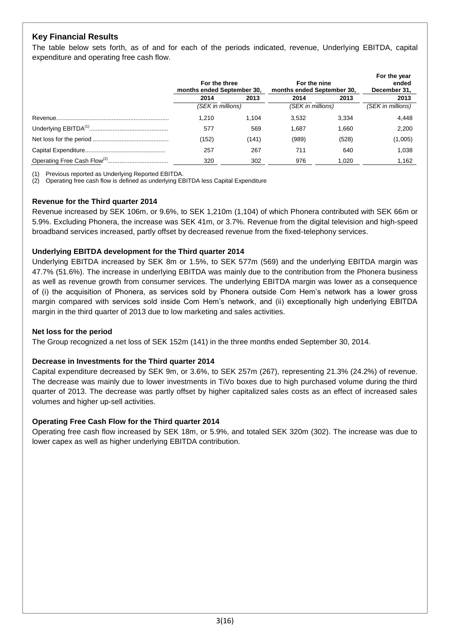# **Key Financial Results**

The table below sets forth, as of and for each of the periods indicated, revenue, Underlying EBITDA, capital expenditure and operating free cash flow.

| For the three<br>months ended September 30, |       | For the nine<br>months ended September 30, | For the year<br>ended<br>December 31, |                   |
|---------------------------------------------|-------|--------------------------------------------|---------------------------------------|-------------------|
| 2014                                        | 2013  | 2014                                       | 2013                                  | 2013              |
| (SEK in millions)                           |       | (SEK in millions)                          |                                       | (SEK in millions) |
| 1.210                                       | 1.104 | 3.532                                      | 3.334                                 | 4.448             |
| 577                                         | 569   | 1.687                                      | 1.660                                 | 2.200             |
| (152)                                       | (141) | (989)                                      | (528)                                 | (1,005)           |
| 257                                         | 267   | 711                                        | 640                                   | 1.038             |
| 320                                         | 302   | 976                                        | 1.020                                 | 1.162             |

(1) Previous reported as Underlying Reported EBITDA.

(2) Operating free cash flow is defined as underlying EBITDA less Capital Expenditure

## **Revenue for the Third quarter 2014**

Revenue increased by SEK 106m, or 9.6%, to SEK 1,210m (1,104) of which Phonera contributed with SEK 66m or 5.9%. Excluding Phonera, the increase was SEK 41m, or 3.7%. Revenue from the digital television and high-speed broadband services increased, partly offset by decreased revenue from the fixed-telephony services.

## **Underlying EBITDA development for the Third quarter 2014**

Underlying EBITDA increased by SEK 8m or 1.5%, to SEK 577m (569) and the underlying EBITDA margin was 47.7% (51.6%). The increase in underlying EBITDA was mainly due to the contribution from the Phonera business as well as revenue growth from consumer services. The underlying EBITDA margin was lower as a consequence of (i) the acquisition of Phonera, as services sold by Phonera outside Com Hem's network has a lower gross margin compared with services sold inside Com Hem's network, and (ii) exceptionally high underlying EBITDA margin in the third quarter of 2013 due to low marketing and sales activities.

## **Net loss for the period**

The Group recognized a net loss of SEK 152m (141) in the three months ended September 30, 2014.

## **Decrease in Investments for the Third quarter 2014**

Capital expenditure decreased by SEK 9m, or 3.6%, to SEK 257m (267), representing 21.3% (24.2%) of revenue. The decrease was mainly due to lower investments in TiVo boxes due to high purchased volume during the third quarter of 2013. The decrease was partly offset by higher capitalized sales costs as an effect of increased sales volumes and higher up-sell activities.

## **Operating Free Cash Flow for the Third quarter 2014**

Operating free cash flow increased by SEK 18m, or 5.9%, and totaled SEK 320m (302). The increase was due to lower capex as well as higher underlying EBITDA contribution.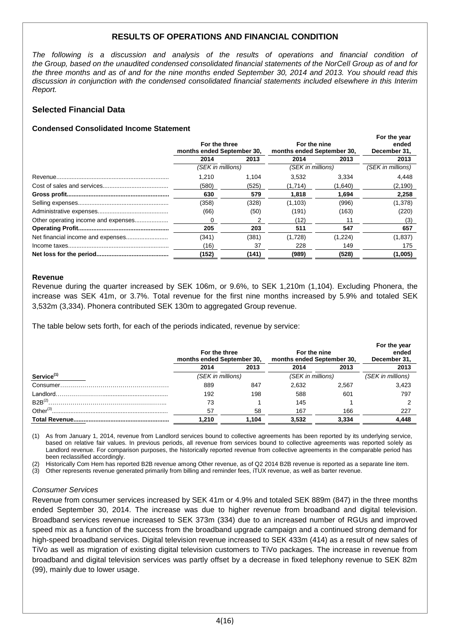# **RESULTS OF OPERATIONS AND FINANCIAL CONDITION**

*The following is a discussion and analysis of the results of operations and financial condition of the Group, based on the unaudited condensed consolidated financial statements of the NorCell Group as of and for the three months and as of and for the nine months ended September 30, 2014 and 2013. You should read this discussion in conjunction with the condensed consolidated financial statements included elsewhere in this Interim Report.*

## **Selected Financial Data**

## **Condensed Consolidated Income Statement**

|                                     | For the three<br>months ended September 30, |       | For the nine<br>months ended September 30, | For the year<br>ended<br>December 31, |                   |
|-------------------------------------|---------------------------------------------|-------|--------------------------------------------|---------------------------------------|-------------------|
|                                     | 2014                                        | 2013  | 2014                                       | 2013                                  | 2013              |
|                                     | (SEK in millions)                           |       | (SEK in millions)                          |                                       | (SEK in millions) |
|                                     | 1.210                                       | 1.104 | 3,532                                      | 3,334                                 | 4,448             |
|                                     | (580)                                       | (525) | (1.714)                                    | (1,640)                               | (2, 190)          |
|                                     | 630                                         | 579   | 1,818                                      | 1,694                                 | 2,258             |
|                                     | (358)                                       | (328) | (1, 103)                                   | (996)                                 | (1,378)           |
|                                     | (66)                                        | (50)  | (191)                                      | (163)                                 | (220)             |
| Other operating income and expenses | 0                                           | 2     | (12)                                       |                                       | (3)               |
|                                     | 205                                         | 203   | 511                                        | 547                                   | 657               |
|                                     | (341)                                       | (381) | (1,728)                                    | (1,224)                               | (1,837)           |
|                                     | (16)                                        | 37    | 228                                        | 149                                   | 175               |
|                                     | (152)                                       | (141) | (989)                                      | (528)                                 | (1,005)           |

#### **Revenue**

Revenue during the quarter increased by SEK 106m, or 9.6%, to SEK 1,210m (1,104). Excluding Phonera, the increase was SEK 41m, or 3.7%. Total revenue for the first nine months increased by 5.9% and totaled SEK 3,532m (3,334). Phonera contributed SEK 130m to aggregated Group revenue.

The table below sets forth, for each of the periods indicated, revenue by service:

|                        | For the three<br>months ended September 30, |       | For the nine<br>months ended September 30, |       | For the year<br>ended<br>December 31, |
|------------------------|---------------------------------------------|-------|--------------------------------------------|-------|---------------------------------------|
|                        | 2014                                        | 2013  | 2014                                       | 2013  | 2013                                  |
| Service <sup>(1)</sup> | (SEK in millions)                           |       | (SEK in millions)                          |       | (SEK in millions)                     |
| Consumer.              | 889                                         | 847   | 2.632                                      | 2.567 | 3,423                                 |
| Landlord.              | 192                                         | 198   | 588                                        | 601   | 797                                   |
| $B2B^{(2)}$            | 73                                          |       | 145                                        |       |                                       |
| $Other(3)$ .           | 57                                          | 58    | 167                                        | 166   | 227                                   |
|                        | 1.210                                       | 1.104 | 3.532                                      | 3.334 | 4.448                                 |

(1) As from January 1, 2014, revenue from Landlord services bound to collective agreements has been reported by its underlying service, based on relative fair values. In previous periods, all revenue from services bound to collective agreements was reported solely as Landlord revenue. For comparison purposes, the historically reported revenue from collective agreements in the comparable period has been reclassified accordingly.

(2) Historically Com Hem has reported B2B revenue among Other revenue, as of Q2 2014 B2B revenue is reported as a separate line item.

(3) Other represents revenue generated primarily from billing and reminder fees, iTUX revenue, as well as barter revenue.

## *Consumer Services*

Revenue from consumer services increased by SEK 41m or 4.9% and totaled SEK 889m (847) in the three months ended September 30, 2014. The increase was due to higher revenue from broadband and digital television. Broadband services revenue increased to SEK 373m (334) due to an increased number of RGUs and improved speed mix as a function of the success from the broadband upgrade campaign and a continued strong demand for high-speed broadband services. Digital television revenue increased to SEK 433m (414) as a result of new sales of TiVo as well as migration of existing digital television customers to TiVo packages. The increase in revenue from broadband and digital television services was partly offset by a decrease in fixed telephony revenue to SEK 82m (99), mainly due to lower usage.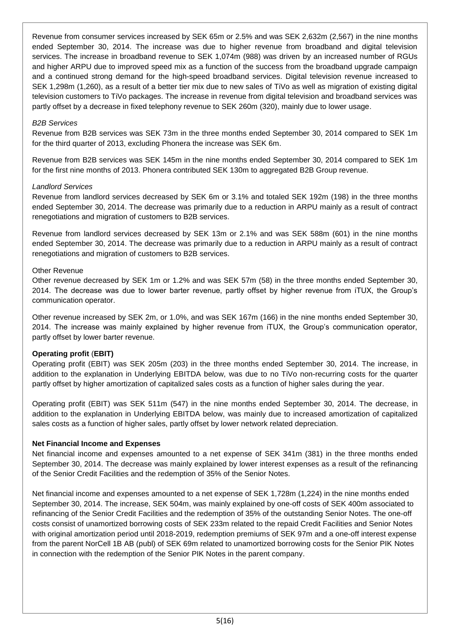Revenue from consumer services increased by SEK 65m or 2.5% and was SEK 2,632m (2,567) in the nine months ended September 30, 2014. The increase was due to higher revenue from broadband and digital television services. The increase in broadband revenue to SEK 1,074m (988) was driven by an increased number of RGUs and higher ARPU due to improved speed mix as a function of the success from the broadband upgrade campaign and a continued strong demand for the high-speed broadband services. Digital television revenue increased to SEK 1,298m (1,260), as a result of a better tier mix due to new sales of TiVo as well as migration of existing digital television customers to TiVo packages. The increase in revenue from digital television and broadband services was partly offset by a decrease in fixed telephony revenue to SEK 260m (320), mainly due to lower usage.

#### *B2B Services*

Revenue from B2B services was SEK 73m in the three months ended September 30, 2014 compared to SEK 1m for the third quarter of 2013, excluding Phonera the increase was SEK 6m.

Revenue from B2B services was SEK 145m in the nine months ended September 30, 2014 compared to SEK 1m for the first nine months of 2013. Phonera contributed SEK 130m to aggregated B2B Group revenue.

#### *Landlord Services*

Revenue from landlord services decreased by SEK 6m or 3.1% and totaled SEK 192m (198) in the three months ended September 30, 2014. The decrease was primarily due to a reduction in ARPU mainly as a result of contract renegotiations and migration of customers to B2B services.

Revenue from landlord services decreased by SEK 13m or 2.1% and was SEK 588m (601) in the nine months ended September 30, 2014. The decrease was primarily due to a reduction in ARPU mainly as a result of contract renegotiations and migration of customers to B2B services.

#### Other Revenue

Other revenue decreased by SEK 1m or 1.2% and was SEK 57m (58) in the three months ended September 30, 2014. The decrease was due to lower barter revenue, partly offset by higher revenue from iTUX, the Group's communication operator.

Other revenue increased by SEK 2m, or 1.0%, and was SEK 167m (166) in the nine months ended September 30, 2014. The increase was mainly explained by higher revenue from iTUX, the Group's communication operator, partly offset by lower barter revenue.

## **Operating profit** (**EBIT)**

Operating profit (EBIT) was SEK 205m (203) in the three months ended September 30, 2014. The increase, in addition to the explanation in Underlying EBITDA below, was due to no TiVo non-recurring costs for the quarter partly offset by higher amortization of capitalized sales costs as a function of higher sales during the year.

Operating profit (EBIT) was SEK 511m (547) in the nine months ended September 30, 2014. The decrease, in addition to the explanation in Underlying EBITDA below, was mainly due to increased amortization of capitalized sales costs as a function of higher sales, partly offset by lower network related depreciation.

## **Net Financial Income and Expenses**

Net financial income and expenses amounted to a net expense of SEK 341m (381) in the three months ended September 30, 2014. The decrease was mainly explained by lower interest expenses as a result of the refinancing of the Senior Credit Facilities and the redemption of 35% of the Senior Notes.

Net financial income and expenses amounted to a net expense of SEK 1,728m (1,224) in the nine months ended September 30, 2014. The increase, SEK 504m, was mainly explained by one-off costs of SEK 400m associated to refinancing of the Senior Credit Facilities and the redemption of 35% of the outstanding Senior Notes. The one-off costs consist of unamortized borrowing costs of SEK 233m related to the repaid Credit Facilities and Senior Notes with original amortization period until 2018-2019, redemption premiums of SEK 97m and a one-off interest expense from the parent NorCell 1B AB (publ) of SEK 69m related to unamortized borrowing costs for the Senior PIK Notes in connection with the redemption of the Senior PIK Notes in the parent company.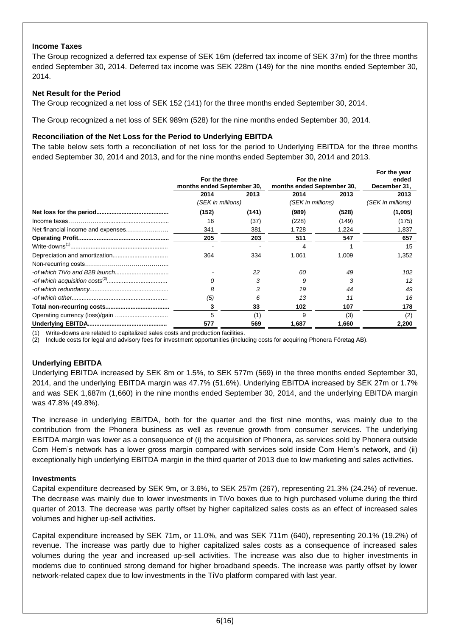## **Income Taxes**

The Group recognized a deferred tax expense of SEK 16m (deferred tax income of SEK 37m) for the three months ended September 30, 2014. Deferred tax income was SEK 228m (149) for the nine months ended September 30, 2014.

## **Net Result for the Period**

The Group recognized a net loss of SEK 152 (141) for the three months ended September 30, 2014.

The Group recognized a net loss of SEK 989m (528) for the nine months ended September 30, 2014.

## **Reconciliation of the Net Loss for the Period to Underlying EBITDA**

The table below sets forth a reconciliation of net loss for the period to Underlying EBITDA for the three months ended September 30, 2014 and 2013, and for the nine months ended September 30, 2014 and 2013.

|                                   | For the three<br>months ended September 30, |       | For the nine<br>months ended September 30, |       | For the year<br>ended<br>December 31, |
|-----------------------------------|---------------------------------------------|-------|--------------------------------------------|-------|---------------------------------------|
|                                   | 2014                                        | 2013  | 2014                                       | 2013  | 2013                                  |
|                                   | (SEK in millions)                           |       | (SEK in millions)                          |       | (SEK in millions)                     |
|                                   | (152)                                       | (141) | (989)                                      | (528) | (1,005)                               |
|                                   | 16                                          | (37)  | (228)                                      | (149) | (175)                                 |
| Net financial income and expenses | 341                                         | 381   | 1,728                                      | 1,224 | 1,837                                 |
|                                   | 205                                         | 203   | 511                                        | 547   | 657                                   |
|                                   |                                             |       |                                            |       | 15                                    |
|                                   | 364                                         | 334   | 1,061                                      | 1,009 | 1,352                                 |
|                                   |                                             |       |                                            |       |                                       |
|                                   |                                             | 22    | 60                                         | 49    | 102                                   |
|                                   | n                                           | 3     | 9                                          | 3     | 12                                    |
|                                   |                                             | 3     | 19                                         | 44    | 49                                    |
|                                   | (5)                                         | 6     | 13                                         | 11    | 16                                    |
|                                   | 3                                           | 33    | 102                                        | 107   | 178                                   |
|                                   | 5                                           |       | 9                                          | (3)   |                                       |
|                                   | 577                                         | 569   | 1.687                                      | 1,660 | 2,200                                 |

(1) Write-downs are related to capitalized sales costs and production facilities.

(2) Include costs for legal and advisory fees for investment opportunities (including costs for acquiring Phonera Företag AB).

## **Underlying EBITDA**

Underlying EBITDA increased by SEK 8m or 1.5%, to SEK 577m (569) in the three months ended September 30, 2014, and the underlying EBITDA margin was 47.7% (51.6%). Underlying EBITDA increased by SEK 27m or 1.7% and was SEK 1,687m (1,660) in the nine months ended September 30, 2014, and the underlying EBITDA margin was 47.8% (49.8%).

The increase in underlying EBITDA, both for the quarter and the first nine months, was mainly due to the contribution from the Phonera business as well as revenue growth from consumer services. The underlying EBITDA margin was lower as a consequence of (i) the acquisition of Phonera, as services sold by Phonera outside Com Hem's network has a lower gross margin compared with services sold inside Com Hem's network, and (ii) exceptionally high underlying EBITDA margin in the third quarter of 2013 due to low marketing and sales activities.

## **Investments**

Capital expenditure decreased by SEK 9m, or 3.6%, to SEK 257m (267), representing 21.3% (24.2%) of revenue. The decrease was mainly due to lower investments in TiVo boxes due to high purchased volume during the third quarter of 2013. The decrease was partly offset by higher capitalized sales costs as an effect of increased sales volumes and higher up-sell activities.

Capital expenditure increased by SEK 71m, or 11.0%, and was SEK 711m (640), representing 20.1% (19.2%) of revenue. The increase was partly due to higher capitalized sales costs as a consequence of increased sales volumes during the year and increased up-sell activities. The increase was also due to higher investments in modems due to continued strong demand for higher broadband speeds. The increase was partly offset by lower network-related capex due to low investments in the TiVo platform compared with last year.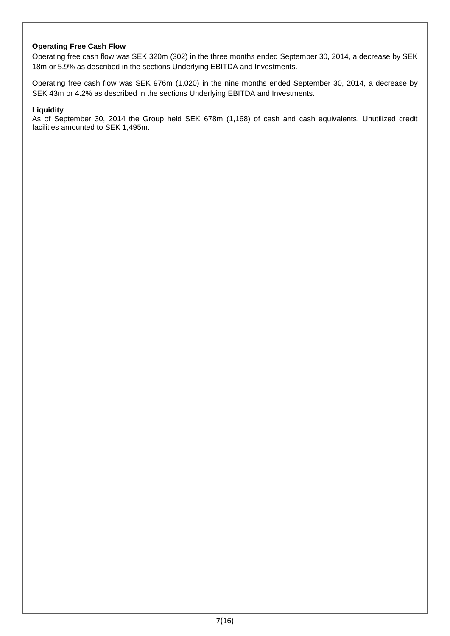## **Operating Free Cash Flow**

Operating free cash flow was SEK 320m (302) in the three months ended September 30, 2014, a decrease by SEK 18m or 5.9% as described in the sections Underlying EBITDA and Investments.

Operating free cash flow was SEK 976m (1,020) in the nine months ended September 30, 2014, a decrease by SEK 43m or 4.2% as described in the sections Underlying EBITDA and Investments.

## **Liquidity**

As of September 30, 2014 the Group held SEK 678m (1,168) of cash and cash equivalents. Unutilized credit facilities amounted to SEK 1,495m.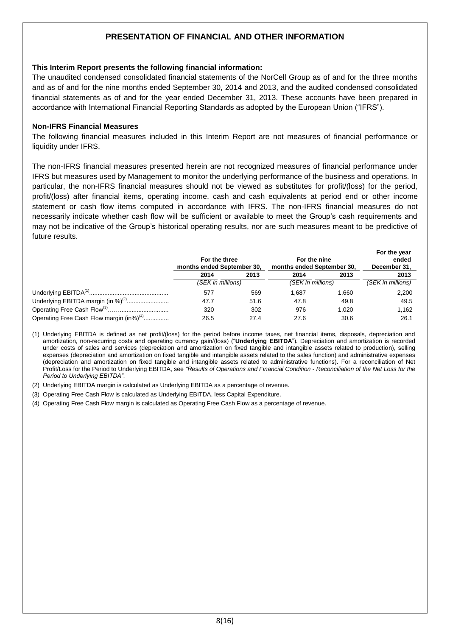# **PRESENTATION OF FINANCIAL AND OTHER INFORMATION**

## **This Interim Report presents the following financial information:**

The unaudited condensed consolidated financial statements of the NorCell Group as of and for the three months and as of and for the nine months ended September 30, 2014 and 2013, and the audited condensed consolidated financial statements as of and for the year ended December 31, 2013. These accounts have been prepared in accordance with International Financial Reporting Standards as adopted by the European Union ("IFRS").

## **Non-IFRS Financial Measures**

The following financial measures included in this Interim Report are not measures of financial performance or liquidity under IFRS.

The non-IFRS financial measures presented herein are not recognized measures of financial performance under IFRS but measures used by Management to monitor the underlying performance of the business and operations. In particular, the non-IFRS financial measures should not be viewed as substitutes for profit/(loss) for the period, profit/(loss) after financial items, operating income, cash and cash equivalents at period end or other income statement or cash flow items computed in accordance with IFRS. The non-IFRS financial measures do not necessarily indicate whether cash flow will be sufficient or available to meet the Group's cash requirements and may not be indicative of the Group's historical operating results, nor are such measures meant to be predictive of future results.

|                                                      | For the three<br>months ended September 30, |      | For the nine<br>months ended September 30, | For the year<br>ended<br>December 31, |                   |
|------------------------------------------------------|---------------------------------------------|------|--------------------------------------------|---------------------------------------|-------------------|
|                                                      | 2014                                        | 2013 | 2014                                       | 2013                                  | 2013              |
|                                                      | (SEK in millions)                           |      | (SEK in millions)                          |                                       | (SEK in millions) |
|                                                      | 577                                         | 569  | 1.687                                      | 1.660                                 | 2,200             |
| Underlying EBITDA margin (in %) <sup>(2)</sup>       | 47.7                                        | 51.6 | 47.8                                       | 49.8                                  | 49.5              |
|                                                      | 320                                         | 302  | 976                                        | 1.020                                 | 1.162             |
| Operating Free Cash Flow margin (in%) <sup>(4)</sup> | 26.5                                        | 27.4 | 27.6                                       | 30.6                                  | 26.1              |

(1) Underlying EBITDA is defined as net profit/(loss) for the period before income taxes, net financial items, disposals, depreciation and amortization, non-recurring costs and operating currency gain/(loss) ("**Underlying EBITDA**"). Depreciation and amortization is recorded under costs of sales and services (depreciation and amortization on fixed tangible and intangible assets related to production), selling expenses (depreciation and amortization on fixed tangible and intangible assets related to the sales function) and administrative expenses (depreciation and amortization on fixed tangible and intangible assets related to administrative functions). For a reconciliation of Net Profit/Loss for the Period to Underlying EBITDA, see *"Results of Operations and Financial Condition* - *Reconciliation of the Net Loss for the Period to Underlying EBITDA"*.

- (2) Underlying EBITDA margin is calculated as Underlying EBITDA as a percentage of revenue.
- (3) Operating Free Cash Flow is calculated as Underlying EBITDA, less Capital Expenditure.
- (4) Operating Free Cash Flow margin is calculated as Operating Free Cash Flow as a percentage of revenue.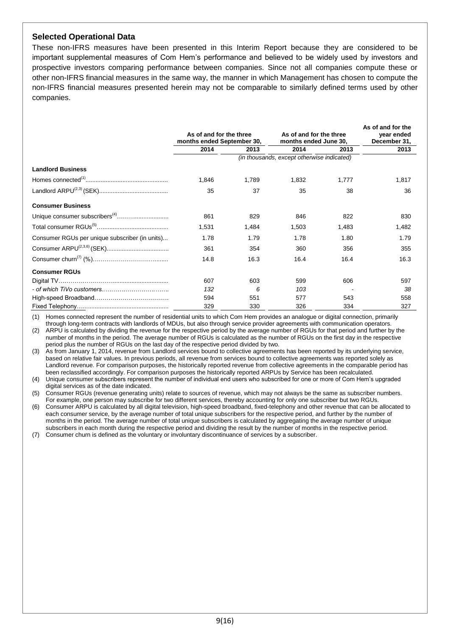## **Selected Operational Data**

These non-IFRS measures have been presented in this Interim Report because they are considered to be important supplemental measures of Com Hem's performance and believed to be widely used by investors and prospective investors comparing performance between companies. Since not all companies compute these or other non-IFRS financial measures in the same way, the manner in which Management has chosen to compute the non-IFRS financial measures presented herein may not be comparable to similarly defined terms used by other companies.

|                                                | As of and for the three<br>months ended September 30, |       | As of and for the three<br>months ended June 30, |       | As of and for the<br>vear ended<br>December 31, |
|------------------------------------------------|-------------------------------------------------------|-------|--------------------------------------------------|-------|-------------------------------------------------|
|                                                | 2014                                                  | 2013  | 2014                                             | 2013  | 2013                                            |
|                                                |                                                       |       | (in thousands, except otherwise indicated)       |       |                                                 |
| <b>Landlord Business</b>                       |                                                       |       |                                                  |       |                                                 |
|                                                | 1,846                                                 | 1,789 | 1.832                                            | 1.777 | 1,817                                           |
|                                                | 35                                                    | 37    | 35                                               | 38    | 36                                              |
| <b>Consumer Business</b>                       |                                                       |       |                                                  |       |                                                 |
| Unique consumer subscribers <sup>(4)</sup>     | 861                                                   | 829   | 846                                              | 822   | 830                                             |
|                                                | 1,531                                                 | 1,484 | 1,503                                            | 1,483 | 1,482                                           |
| Consumer RGUs per unique subscriber (in units) | 1.78                                                  | 1.79  | 1.78                                             | 1.80  | 1.79                                            |
|                                                | 361                                                   | 354   | 360                                              | 356   | 355                                             |
|                                                | 14.8                                                  | 16.3  | 16.4                                             | 16.4  | 16.3                                            |
| <b>Consumer RGUs</b>                           |                                                       |       |                                                  |       |                                                 |
|                                                | 607                                                   | 603   | 599                                              | 606   | 597                                             |
|                                                | 132                                                   | 6     | 103                                              |       | 38                                              |
|                                                | 594                                                   | 551   | 577                                              | 543   | 558                                             |
|                                                | 329                                                   | 330   | 326                                              | 334   | 327                                             |

(1) Homes connected represent the number of residential units to which Com Hem provides an analogue or digital connection, primarily through long-term contracts with landlords of MDUs, but also through service provider agreements with communication operators. (2) ARPU is calculated by dividing the revenue for the respective period by the average number of RGUs for that period and further by the number of months in the period. The average number of RGUs is calculated as the number of RGUs on the first day in the respective period plus the number of RGUs on the last day of the respective period divided by two.

(3) As from January 1, 2014, revenue from Landlord services bound to collective agreements has been reported by its underlying service, based on relative fair values. In previous periods, all revenue from services bound to collective agreements was reported solely as Landlord revenue. For comparison purposes, the historically reported revenue from collective agreements in the comparable period has been reclassified accordingly. For comparison purposes the historically reported ARPUs by Service has been recalculated.

(4) Unique consumer subscribers represent the number of individual end users who subscribed for one or more of Com Hem's upgraded digital services as of the date indicated.

(5) Consumer RGUs (revenue generating units) relate to sources of revenue, which may not always be the same as subscriber numbers. For example, one person may subscribe for two different services, thereby accounting for only one subscriber but two RGUs.

(6) Consumer ARPU is calculated by all digital television, high-speed broadband, fixed-telephony and other revenue that can be allocated to each consumer service, by the average number of total unique subscribers for the respective period, and further by the number of months in the period. The average number of total unique subscribers is calculated by aggregating the average number of unique subscribers in each month during the respective period and dividing the result by the number of months in the respective period.

(7) Consumer churn is defined as the voluntary or involuntary discontinuance of services by a subscriber.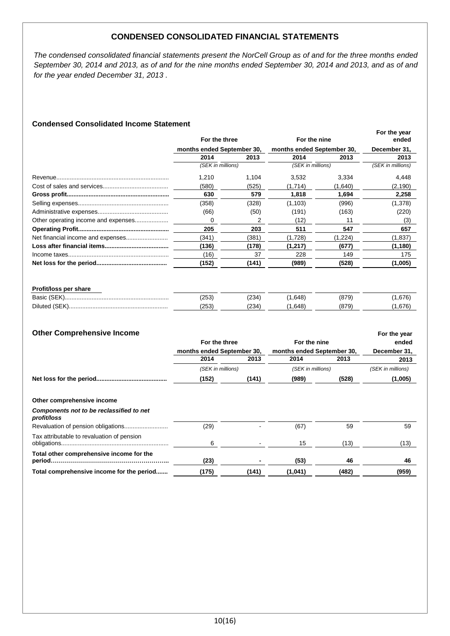# **CONDENSED CONSOLIDATED FINANCIAL STATEMENTS**

*The condensed consolidated financial statements present the NorCell Group as of and for the three months ended September 30, 2014 and 2013, as of and for the nine months ended September 30, 2014 and 2013, and as of and for the year ended December 31, 2013 .*

**For the year**

## **Condensed Consolidated Income Statement**

| For the three              |       | For the nine               | <b>For the year</b><br>ended |                   |
|----------------------------|-------|----------------------------|------------------------------|-------------------|
| months ended September 30, |       | months ended September 30, |                              | December 31,      |
| 2014                       | 2013  | 2014                       | 2013                         | 2013              |
| (SEK in millions)          |       | (SEK in millions)          |                              | (SEK in millions) |
| 1.210                      | 1.104 | 3,532                      | 3.334                        | 4,448             |
| (580)                      | (525) | (1.714)                    | (1,640)                      | (2, 190)          |
| 630                        | 579   | 1,818                      | 1,694                        | 2,258             |
| (358)                      | (328) | (1, 103)                   | (996)                        | (1,378)           |
| (66)                       | (50)  | (191)                      | (163)                        | (220)             |
| 0                          | 2     | (12)                       | 11                           | (3)               |
| 205                        | 203   | 511                        | 547                          | 657               |
| (341)                      | (381) | (1,728)                    | (1,224)                      | (1,837)           |
| (136)                      | (178) | (1,217)                    | (677)                        | (1, 180)          |
| (16)                       | 37    | 228                        | 149                          | 175               |
| (152)                      | (141) | (989)                      | (528)                        | (1,005)           |

| Basio<br>  | $\sim$ $\sim$ $\sim$<br>دںء | $\cdot$ | $- -$ | $\sim$ |
|------------|-----------------------------|---------|-------|--------|
| Dilute<br> | ∠∪                          | ື       |       |        |

| <b>Other Comprehensive Income</b> | For the year |
|-----------------------------------|--------------|
|-----------------------------------|--------------|

|                                                         | For the three<br>months ended September 30, |       | For the nine<br>months ended September 30, |       | ended<br>December 31. |
|---------------------------------------------------------|---------------------------------------------|-------|--------------------------------------------|-------|-----------------------|
|                                                         |                                             |       |                                            |       |                       |
|                                                         | 2014                                        | 2013  | 2014                                       | 2013  | 2013                  |
|                                                         | (SEK in millions)                           |       | (SEK in millions)                          |       | (SEK in millions)     |
|                                                         | (152)                                       | (141) | (989)                                      | (528) | (1,005)               |
| Other comprehensive income                              |                                             |       |                                            |       |                       |
| Components not to be reclassified to net<br>profit/loss |                                             |       |                                            |       |                       |
|                                                         | (29)                                        |       | (67)                                       | 59    | 59                    |
| Tax attributable to revaluation of pension              | 6                                           |       | 15                                         | (13)  | (13)                  |
| Total other comprehensive income for the                | (23)                                        |       | (53)                                       | 46    | 46                    |
| Total comprehensive income for the period               | (175)                                       | (141) | (1,041)                                    | (482) | (959)                 |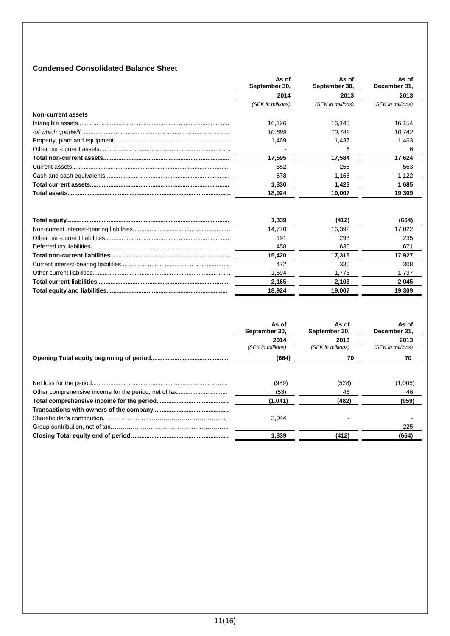## **Condensed Consolidated Balance Sheet**

|                           | As of<br>September 30, | As of<br>September 30, | As of<br>December 31. |
|---------------------------|------------------------|------------------------|-----------------------|
|                           | 2014                   | 2013                   | 2013                  |
|                           | (SEK in millions)      | (SEK in millions)      | (SEK in millions)     |
| <b>Non-current assets</b> |                        |                        |                       |
|                           | 16.126                 | 16.140                 | 16.154                |
|                           | 10.899                 | 10.742                 | 10.742                |
|                           | 1.469                  | 1,437                  | 1.463                 |
|                           |                        | 6                      | 6                     |
|                           | 17,595                 | 17,584                 | 17,624                |
|                           | 652                    | 255                    | 563                   |
|                           | 678                    | 1,168                  | 1,122                 |
|                           | 1.330                  | 1.423                  | 1.685                 |
|                           | 18,924                 | 19,007                 | 19,309                |
|                           | 1,339                  | (412)                  | (664)                 |
|                           | 14.770                 | 16,392                 | 17,022                |
|                           | 191                    | 293                    | 235                   |
|                           | 458                    | 630                    | 671                   |
|                           | 15.420                 | 17,315                 | 17,927                |
|                           | 472                    | 330                    | 308                   |
|                           | 1,694                  | 1,773                  | 1,737                 |

| As of<br>September 30, | As of<br>September 30, | As of<br>December 31. |
|------------------------|------------------------|-----------------------|
| 2014                   | 2013                   | 2013                  |
| (SEK in millions)      | (SEK in millions)      | (SEK in millions)     |
| (664)                  | 70                     | 70                    |
|                        |                        |                       |
| (989)                  | (528)                  | (1,005)               |
| (53)                   | 46                     | 46                    |
| (1,041)                | (482)                  | (959)                 |
|                        |                        |                       |
| 3.044                  |                        |                       |
|                        |                        | 225                   |
| 1.339                  | (412)                  | (664)                 |
|                        |                        |                       |

**Total current liabilities.............................................................................. 2,165 2,103 2,045 Total equity and liabilities........................................................................ 18,924 19,007 19,309**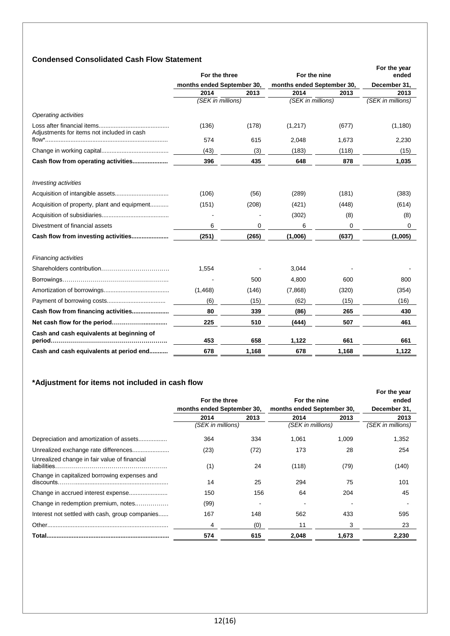# **Condensed Consolidated Cash Flow Statement**

|                                              | For the three              |       | For the nine               |       | For the year<br>ended |
|----------------------------------------------|----------------------------|-------|----------------------------|-------|-----------------------|
|                                              | months ended September 30, |       | months ended September 30, |       | December 31,          |
|                                              | 2014                       | 2013  | 2014                       | 2013  | 2013                  |
|                                              | (SEK in millions)          |       | (SEK in millions)          |       | (SEK in millions)     |
| <b>Operating activities</b>                  |                            |       |                            |       |                       |
| Adjustments for items not included in cash   | (136)                      | (178) | (1,217)                    | (677) | (1,180)               |
|                                              | 574                        | 615   | 2,048                      | 1,673 | 2,230                 |
|                                              | (43)                       | (3)   | (183)                      | (118) | (15)                  |
| Cash flow from operating activities          | 396                        | 435   | 648                        | 878   | 1,035                 |
| Investing activities                         |                            |       |                            |       |                       |
|                                              | (106)                      | (56)  | (289)                      | (181) | (383)                 |
| Acquisition of property, plant and equipment | (151)                      | (208) | (421)                      | (448) | (614)                 |
|                                              |                            |       | (302)                      | (8)   | (8)                   |
| Divestment of financial assets               | 6                          | 0     | 6                          | 0     | 0                     |
|                                              | (251)                      | (265) | (1.006)                    | (637) | (1,005)               |
| <b>Financing activities</b>                  |                            |       |                            |       |                       |
|                                              | 1,554                      |       | 3,044                      |       |                       |
|                                              |                            | 500   | 4,800                      | 600   | 800                   |
|                                              | (1, 468)                   | (146) | (7,868)                    | (320) | (354)                 |
|                                              | (6)                        | (15)  | (62)                       | (15)  | (16)                  |
|                                              | 80                         | 339   | (86)                       | 265   | 430                   |
|                                              | 225                        | 510   | (444)                      | 507   | 461                   |
| Cash and cash equivalents at beginning of    | 453                        | 658   | 1,122                      | 661   | 661                   |
| Cash and cash equivalents at period end      | 678                        | 1,168 | 678                        | 1,168 | 1,122                 |

# **\*Adjustment for items not included in cash flow**

|                                                 | For the three              |      | For the nine               |       | For the year<br>ended |
|-------------------------------------------------|----------------------------|------|----------------------------|-------|-----------------------|
|                                                 | months ended September 30, |      | months ended September 30, |       | December 31,          |
|                                                 | 2014                       | 2013 | 2014                       | 2013  | 2013                  |
|                                                 | (SEK in millions)          |      | (SEK in millions)          |       | (SEK in millions)     |
| Depreciation and amortization of assets         | 364                        | 334  | 1,061                      | 1,009 | 1,352                 |
|                                                 | (23)                       | (72) | 173                        | 28    | 254                   |
| Unrealized change in fair value of financial    | (1)                        | 24   | (118)                      | (79)  | (140)                 |
| Change in capitalized borrowing expenses and    | 14                         | 25   | 294                        | 75    | 101                   |
|                                                 | 150                        | 156  | 64                         | 204   | 45                    |
| Change in redemption premium, notes             | (99)                       |      |                            |       |                       |
| Interest not settled with cash, group companies | 167                        | 148  | 562                        | 433   | 595                   |
|                                                 | 4                          | (0)  | 11                         | 3     | 23                    |
|                                                 | 574                        | 615  | 2,048                      | 1,673 | 2,230                 |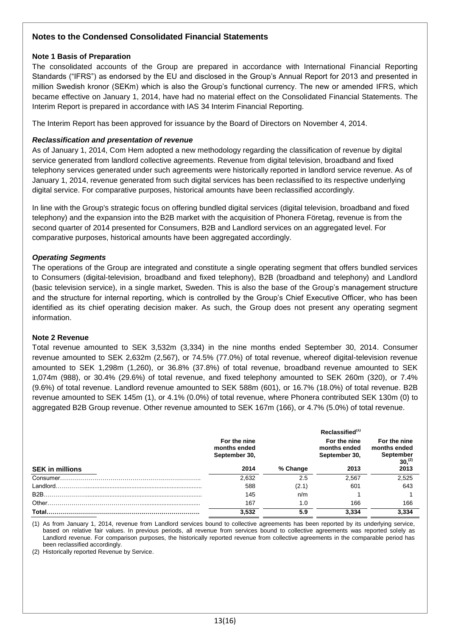# **Notes to the Condensed Consolidated Financial Statements**

## **Note 1 Basis of Preparation**

The consolidated accounts of the Group are prepared in accordance with International Financial Reporting Standards ("IFRS") as endorsed by the EU and disclosed in the Group's Annual Report for 2013 and presented in million Swedish kronor (SEKm) which is also the Group's functional currency. The new or amended IFRS, which became effective on January 1, 2014, have had no material effect on the Consolidated Financial Statements. The Interim Report is prepared in accordance with IAS 34 Interim Financial Reporting.

The Interim Report has been approved for issuance by the Board of Directors on November 4, 2014.

## *Reclassification and presentation of revenue*

As of January 1, 2014, Com Hem adopted a new methodology regarding the classification of revenue by digital service generated from landlord collective agreements. Revenue from digital television, broadband and fixed telephony services generated under such agreements were historically reported in landlord service revenue. As of January 1, 2014, revenue generated from such digital services has been reclassified to its respective underlying digital service. For comparative purposes, historical amounts have been reclassified accordingly.

In line with the Group's strategic focus on offering bundled digital services (digital television, broadband and fixed telephony) and the expansion into the B2B market with the acquisition of Phonera Företag, revenue is from the second quarter of 2014 presented for Consumers, B2B and Landlord services on an aggregated level. For comparative purposes, historical amounts have been aggregated accordingly.

## *Operating Segments*

The operations of the Group are integrated and constitute a single operating segment that offers bundled services to Consumers (digital-television, broadband and fixed telephony), B2B (broadband and telephony) and Landlord (basic television service), in a single market, Sweden. This is also the base of the Group's management structure and the structure for internal reporting, which is controlled by the Group's Chief Executive Officer, who has been identified as its chief operating decision maker. As such, the Group does not present any operating segment information.

## **Note 2 Revenue**

Total revenue amounted to SEK 3,532m (3,334) in the nine months ended September 30, 2014. Consumer revenue amounted to SEK 2,632m (2,567), or 74.5% (77.0%) of total revenue, whereof digital-television revenue amounted to SEK 1,298m (1,260), or 36.8% (37.8%) of total revenue, broadband revenue amounted to SEK 1,074m (988), or 30.4% (29.6%) of total revenue, and fixed telephony amounted to SEK 260m (320), or 7.4% (9.6%) of total revenue. Landlord revenue amounted to SEK 588m (601), or 16.7% (18.0%) of total revenue. B2B revenue amounted to SEK 145m (1), or 4.1% (0.0%) of total revenue, where Phonera contributed SEK 130m (0) to aggregated B2B Group revenue. Other revenue amounted to SEK 167m (166), or 4.7% (5.0%) of total revenue.

|                        | For the nine<br>months ended<br>September 30, |          | Reclassified <sup>(1)</sup><br>For the nine<br>months ended<br>September 30, | For the nine<br>months ended<br>September<br>$30, ^{(2)}$ |
|------------------------|-----------------------------------------------|----------|------------------------------------------------------------------------------|-----------------------------------------------------------|
| <b>SEK in millions</b> | 2014                                          | % Change | 2013                                                                         | 2013                                                      |
| Consumer.              | 2.632                                         | 2.5      | 2.567                                                                        | 2.525                                                     |
| Landlord.              | 588                                           | (2.1)    | 601                                                                          | 643                                                       |
| B <sub>2</sub> B       | 145                                           | n/m      |                                                                              |                                                           |
| Other.                 | 167                                           | 1.0      | 166                                                                          | 166                                                       |
| Total                  | 3.532                                         | 5.9      | 3.334                                                                        | 3.334                                                     |

(1) As from January 1, 2014, revenue from Landlord services bound to collective agreements has been reported by its underlying service, based on relative fair values. In previous periods, all revenue from services bound to collective agreements was reported solely as Landlord revenue. For comparison purposes, the historically reported revenue from collective agreements in the comparable period has been reclassified accordingly.

(2) Historically reported Revenue by Service.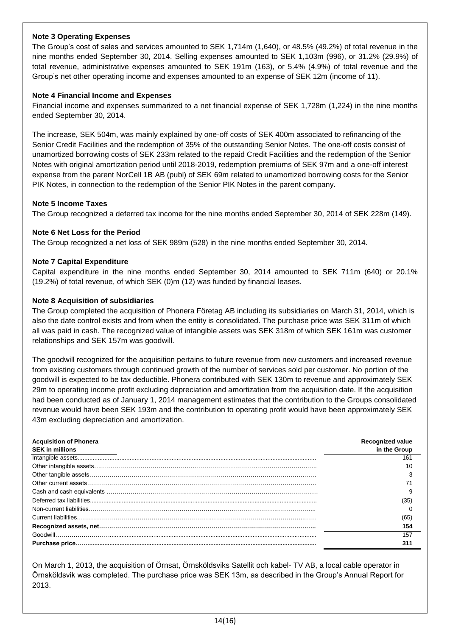## **Note 3 Operating Expenses**

The Group's cost of sales and services amounted to SEK 1,714m (1,640), or 48.5% (49.2%) of total revenue in the nine months ended September 30, 2014. Selling expenses amounted to SEK 1,103m (996), or 31.2% (29.9%) of total revenue, administrative expenses amounted to SEK 191m (163), or 5.4% (4.9%) of total revenue and the Group's net other operating income and expenses amounted to an expense of SEK 12m (income of 11).

## **Note 4 Financial Income and Expenses**

Financial income and expenses summarized to a net financial expense of SEK 1,728m (1,224) in the nine months ended September 30, 2014.

The increase, SEK 504m, was mainly explained by one-off costs of SEK 400m associated to refinancing of the Senior Credit Facilities and the redemption of 35% of the outstanding Senior Notes. The one-off costs consist of unamortized borrowing costs of SEK 233m related to the repaid Credit Facilities and the redemption of the Senior Notes with original amortization period until 2018-2019, redemption premiums of SEK 97m and a one-off interest expense from the parent NorCell 1B AB (publ) of SEK 69m related to unamortized borrowing costs for the Senior PIK Notes, in connection to the redemption of the Senior PIK Notes in the parent company.

#### **Note 5 Income Taxes**

The Group recognized a deferred tax income for the nine months ended September 30, 2014 of SEK 228m (149).

## **Note 6 Net Loss for the Period**

The Group recognized a net loss of SEK 989m (528) in the nine months ended September 30, 2014.

#### **Note 7 Capital Expenditure**

Capital expenditure in the nine months ended September 30, 2014 amounted to SEK 711m (640) or 20.1% (19.2%) of total revenue, of which SEK (0)m (12) was funded by financial leases.

#### **Note 8 Acquisition of subsidiaries**

The Group completed the acquisition of Phonera Företag AB including its subsidiaries on March 31, 2014, which is also the date control exists and from when the entity is consolidated. The purchase price was SEK 311m of which all was paid in cash. The recognized value of intangible assets was SEK 318m of which SEK 161m was customer relationships and SEK 157m was goodwill.

The goodwill recognized for the acquisition pertains to future revenue from new customers and increased revenue from existing customers through continued growth of the number of services sold per customer. No portion of the goodwill is expected to be tax deductible. Phonera contributed with SEK 130m to revenue and approximately SEK 29m to operating income profit excluding depreciation and amortization from the acquisition date. If the acquisition had been conducted as of January 1, 2014 management estimates that the contribution to the Groups consolidated revenue would have been SEK 193m and the contribution to operating profit would have been approximately SEK 43m excluding depreciation and amortization.

| <b>Acquisition of Phonera</b><br><b>SEK in millions</b> | Recognized value<br>in the Group |
|---------------------------------------------------------|----------------------------------|
|                                                         | 161                              |
|                                                         | 10                               |
|                                                         |                                  |
|                                                         |                                  |
|                                                         |                                  |
|                                                         | 135                              |
|                                                         |                                  |
|                                                         | (65)                             |
|                                                         | 154                              |
|                                                         | 157                              |
|                                                         | 311                              |

On March 1, 2013, the acquisition of Örnsat, Örnsköldsviks Satellit och kabel- TV AB, a local cable operator in Örnsköldsvik was completed. The purchase price was SEK 13m, as described in the Group's Annual Report for 2013.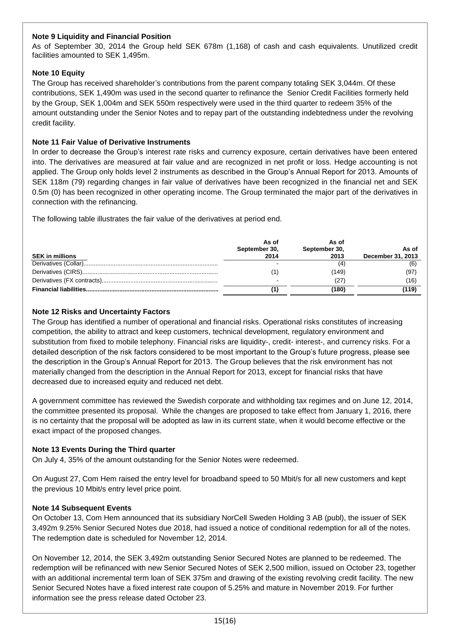## **Note 9 Liquidity and Financial Position**

As of September 30, 2014 the Group held SEK 678m (1,168) of cash and cash equivalents. Unutilized credit facilities amounted to SEK 1,495m.

## **Note 10 Equity**

The Group has received shareholder's contributions from the parent company totaling SEK 3,044m. Of these contributions, SEK 1,490m was used in the second quarter to refinance the Senior Credit Facilities formerly held by the Group, SEK 1,004m and SEK 550m respectively were used in the third quarter to redeem 35% of the amount outstanding under the Senior Notes and to repay part of the outstanding indebtedness under the revolving credit facility.

## **Note 11 Fair Value of Derivative Instruments**

In order to decrease the Group's interest rate risks and currency exposure, certain derivatives have been entered into. The derivatives are measured at fair value and are recognized in net profit or loss. Hedge accounting is not applied. The Group only holds level 2 instruments as described in the Group's Annual Report for 2013. Amounts of SEK 118m (79) regarding changes in fair value of derivatives have been recognized in the financial net and SEK 0.5m (0) has been recognized in other operating income. The Group terminated the major part of the derivatives in connection with the refinancing.

The following table illustrates the fair value of the derivatives at period end.

| <b>SEK in millions</b> | As of<br>September 30,<br>2014 | As of<br>September 30,<br>2013 | As of<br>December 31, 2013 |
|------------------------|--------------------------------|--------------------------------|----------------------------|
|                        |                                |                                | (6)                        |
|                        |                                | (149)                          | (97)                       |
|                        |                                |                                | (16)                       |
|                        |                                | (180)                          | ั119)                      |

## **Note 12 Risks and Uncertainty Factors**

The Group has identified a number of operational and financial risks. Operational risks constitutes of increasing **1** competition, the ability to attract and keep customers, technical development, regulatory environment and **2** substitution from fixed to mobile telephony. Financial risks are liquidity-, credit- interest-, and currency risks. For a **0** detailed description of the risk factors considered to be most important to the Group's future progress, please see **3** the description in the Group's Annual Report for 2013. The Group believes that the risk environment has not materially changed from the description in the Annual Report for 2013, except for financial risks that have decreased due to increased equity and reduced net debt. **, 1**

A government committee has reviewed the Swedish corporate and withholding tax regimes and on June 12, 2014, the committee presented its proposal. While the changes are proposed to take effect from January 1, 2016, there is no certainty that the proposal will be adopted as law in its current state, when it would become effective or the exact impact of the proposed changes.

## **Note 13 Events During the Third quarter**

On July 4, 35% of the amount outstanding for the Senior Notes were redeemed.

On August 27, Com Hem raised the entry level for broadband speed to 50 Mbit/s for all new customers and kept the previous 10 Mbit/s entry level price point.

## **Note 14 Subsequent Events**

On October 13, Com Hem announced that its subsidiary NorCell Sweden Holding 3 AB (publ), the issuer of SEK 3,492m 9.25% Senior Secured Notes due 2018, had issued a notice of conditional redemption for all of the notes. The redemption date is scheduled for November 12, 2014.

On November 12, 2014, the SEK 3,492m outstanding Senior Secured Notes are planned to be redeemed. The redemption will be refinanced with new Senior Secured Notes of SEK 2,500 million, issued on October 23, together with an additional incremental term loan of SEK 375m and drawing of the existing revolving credit facility. The new Senior Secured Notes have a fixed interest rate coupon of 5.25% and mature in November 2019. For further information see the press release dated October 23.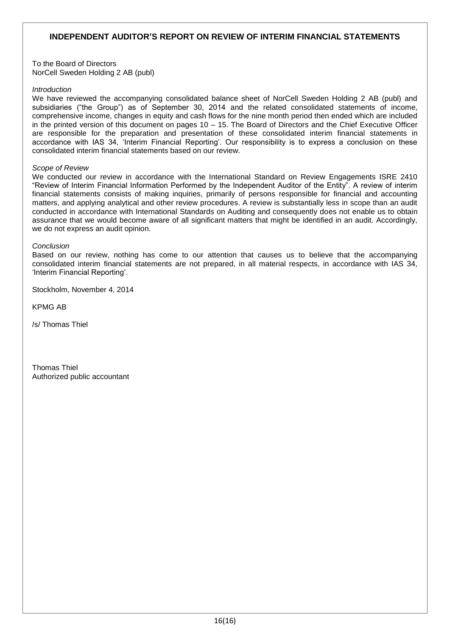# **INDEPENDENT AUDITOR'S REPORT ON REVIEW OF INTERIM FINANCIAL STATEMENTS**

To the Board of Directors NorCell Sweden Holding 2 AB (publ)

#### *Introduction*

We have reviewed the accompanying consolidated balance sheet of NorCell Sweden Holding 2 AB (publ) and subsidiaries ("the Group") as of September 30, 2014 and the related consolidated statements of income, comprehensive income, changes in equity and cash flows for the nine month period then ended which are included in the printed version of this document on pages  $10 - 15$ . The Board of Directors and the Chief Executive Officer are responsible for the preparation and presentation of these consolidated interim financial statements in accordance with IAS 34, 'Interim Financial Reporting'. Our responsibility is to express a conclusion on these consolidated interim financial statements based on our review.

#### *Scope of Review*

We conducted our review in accordance with the International Standard on Review Engagements ISRE 2410 "Review of Interim Financial Information Performed by the Independent Auditor of the Entity". A review of interim financial statements consists of making inquiries, primarily of persons responsible for financial and accounting matters, and applying analytical and other review procedures. A review is substantially less in scope than an audit conducted in accordance with International Standards on Auditing and consequently does not enable us to obtain assurance that we would become aware of all significant matters that might be identified in an audit. Accordingly, we do not express an audit opinion.

#### *Conclusion*

Based on our review, nothing has come to our attention that causes us to believe that the accompanying consolidated interim financial statements are not prepared, in all material respects, in accordance with IAS 34, 'Interim Financial Reporting'.

Stockholm, November 4, 2014

KPMG AB

/s/ Thomas Thiel

Thomas Thiel Authorized public accountant